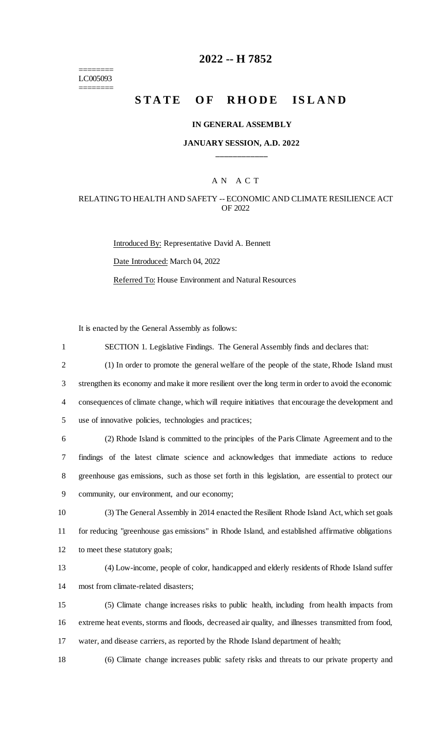======== LC005093 ========

# **2022 -- H 7852**

# **STATE OF RHODE ISLAND**

#### **IN GENERAL ASSEMBLY**

### **JANUARY SESSION, A.D. 2022 \_\_\_\_\_\_\_\_\_\_\_\_**

## A N A C T

#### RELATING TO HEALTH AND SAFETY -- ECONOMIC AND CLIMATE RESILIENCE ACT OF 2022

Introduced By: Representative David A. Bennett Date Introduced: March 04, 2022 Referred To: House Environment and Natural Resources

It is enacted by the General Assembly as follows:

| $\mathbf{1}$   | SECTION 1. Legislative Findings. The General Assembly finds and declares that:                      |
|----------------|-----------------------------------------------------------------------------------------------------|
| $\overline{2}$ | (1) In order to promote the general welfare of the people of the state, Rhode Island must           |
| 3              | strengthen its economy and make it more resilient over the long term in order to avoid the economic |
| $\overline{4}$ | consequences of climate change, which will require initiatives that encourage the development and   |
| 5              | use of innovative policies, technologies and practices;                                             |
| 6              | (2) Rhode Island is committed to the principles of the Paris Climate Agreement and to the           |
| 7              | findings of the latest climate science and acknowledges that immediate actions to reduce            |
| $8\,$          | greenhouse gas emissions, such as those set forth in this legislation, are essential to protect our |
| $\mathbf{9}$   | community, our environment, and our economy;                                                        |
| 10             | (3) The General Assembly in 2014 enacted the Resilient Rhode Island Act, which set goals            |
| 11             | for reducing "greenhouse gas emissions" in Rhode Island, and established affirmative obligations    |
| 12             | to meet these statutory goals;                                                                      |
| 13             | (4) Low-income, people of color, handicapped and elderly residents of Rhode Island suffer           |
| 14             | most from climate-related disasters;                                                                |
| 15             | (5) Climate change increases risks to public health, including from health impacts from             |
| 16             | extreme heat events, storms and floods, decreased air quality, and illnesses transmitted from food, |
| 17             | water, and disease carriers, as reported by the Rhode Island department of health;                  |
| 18             | (6) Climate change increases public safety risks and threats to our private property and            |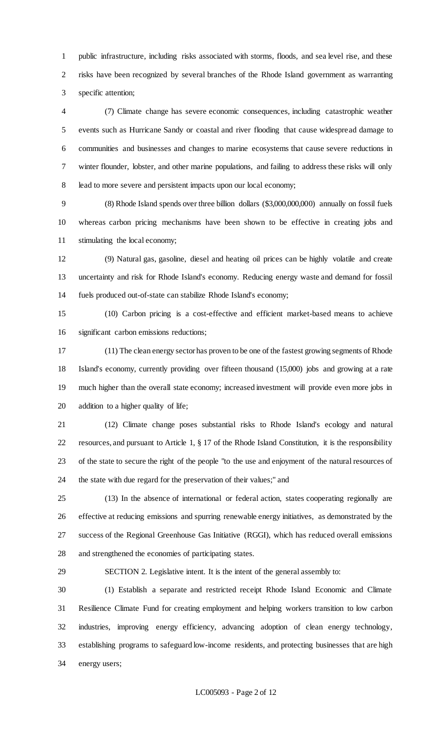public infrastructure, including risks associated with storms, floods, and sea level rise, and these risks have been recognized by several branches of the Rhode Island government as warranting specific attention;

 (7) Climate change has severe economic consequences, including catastrophic weather events such as Hurricane Sandy or coastal and river flooding that cause widespread damage to communities and businesses and changes to marine ecosystems that cause severe reductions in winter flounder, lobster, and other marine populations, and failing to address these risks will only lead to more severe and persistent impacts upon our local economy;

 (8) Rhode Island spends over three billion dollars (\$3,000,000,000) annually on fossil fuels whereas carbon pricing mechanisms have been shown to be effective in creating jobs and stimulating the local economy;

 (9) Natural gas, gasoline, diesel and heating oil prices can be highly volatile and create uncertainty and risk for Rhode Island's economy. Reducing energy waste and demand for fossil fuels produced out-of-state can stabilize Rhode Island's economy;

 (10) Carbon pricing is a cost-effective and efficient market-based means to achieve significant carbon emissions reductions;

 (11) The clean energy sector has proven to be one of the fastest growing segments of Rhode Island's economy, currently providing over fifteen thousand (15,000) jobs and growing at a rate much higher than the overall state economy; increased investment will provide even more jobs in addition to a higher quality of life;

 (12) Climate change poses substantial risks to Rhode Island's ecology and natural resources, and pursuant to Article 1, § 17 of the Rhode Island Constitution, it is the responsibility of the state to secure the right of the people "to the use and enjoyment of the natural resources of the state with due regard for the preservation of their values;" and

 (13) In the absence of international or federal action, states cooperating regionally are effective at reducing emissions and spurring renewable energy initiatives, as demonstrated by the success of the Regional Greenhouse Gas Initiative (RGGI), which has reduced overall emissions and strengthened the economies of participating states.

SECTION 2. Legislative intent. It is the intent of the general assembly to:

 (1) Establish a separate and restricted receipt Rhode Island Economic and Climate Resilience Climate Fund for creating employment and helping workers transition to low carbon industries, improving energy efficiency, advancing adoption of clean energy technology, establishing programs to safeguard low-income residents, and protecting businesses that are high energy users;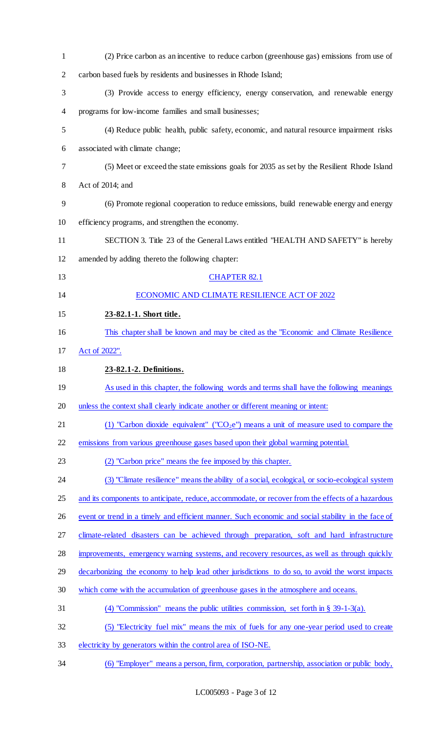| $\mathbf{1}$   | (2) Price carbon as an incentive to reduce carbon (greenhouse gas) emissions from use of           |
|----------------|----------------------------------------------------------------------------------------------------|
| $\overline{2}$ | carbon based fuels by residents and businesses in Rhode Island;                                    |
| 3              | (3) Provide access to energy efficiency, energy conservation, and renewable energy                 |
| 4              | programs for low-income families and small businesses;                                             |
| 5              | (4) Reduce public health, public safety, economic, and natural resource impairment risks           |
| 6              | associated with climate change;                                                                    |
| 7              | (5) Meet or exceed the state emissions goals for 2035 as set by the Resilient Rhode Island         |
| 8              | Act of 2014; and                                                                                   |
| 9              | (6) Promote regional cooperation to reduce emissions, build renewable energy and energy            |
| 10             | efficiency programs, and strengthen the economy.                                                   |
| 11             | SECTION 3. Title 23 of the General Laws entitled "HEALTH AND SAFETY" is hereby                     |
| 12             | amended by adding thereto the following chapter:                                                   |
| 13             | <b>CHAPTER 82.1</b>                                                                                |
| 14             | ECONOMIC AND CLIMATE RESILIENCE ACT OF 2022                                                        |
| 15             | 23-82.1-1. Short title.                                                                            |
| 16             | This chapter shall be known and may be cited as the "Economic and Climate Resilience               |
| 17             | Act of 2022".                                                                                      |
| 18             | 23-82.1-2. Definitions.                                                                            |
| 19             | As used in this chapter, the following words and terms shall have the following meanings           |
| 20             | unless the context shall clearly indicate another or different meaning or intent:                  |
| 21             | (1) "Carbon dioxide equivalent" ("CO <sub>2</sub> e") means a unit of measure used to compare the  |
| 22             | emissions from various greenhouse gases based upon their global warming potential.                 |
| 23             | (2) "Carbon price" means the fee imposed by this chapter.                                          |
| 24             | (3) "Climate resilience" means the ability of a social, ecological, or socio-ecological system     |
| 25             | and its components to anticipate, reduce, accommodate, or recover from the effects of a hazardous  |
| 26             | event or trend in a timely and efficient manner. Such economic and social stability in the face of |
| 27             | climate-related disasters can be achieved through preparation, soft and hard infrastructure        |
| 28             | improvements, emergency warning systems, and recovery resources, as well as through quickly        |
| 29             | decarbonizing the economy to help lead other jurisdictions to do so, to avoid the worst impacts    |
| 30             | which come with the accumulation of greenhouse gases in the atmosphere and oceans.                 |
| 31             | (4) "Commission" means the public utilities commission, set forth in $\S$ 39-1-3(a).               |
| 32             | (5) "Electricity fuel mix" means the mix of fuels for any one-year period used to create           |
| 33             | electricity by generators within the control area of ISO-NE.                                       |
| 34             | (6) "Employer" means a person, firm, corporation, partnership, association or public body,         |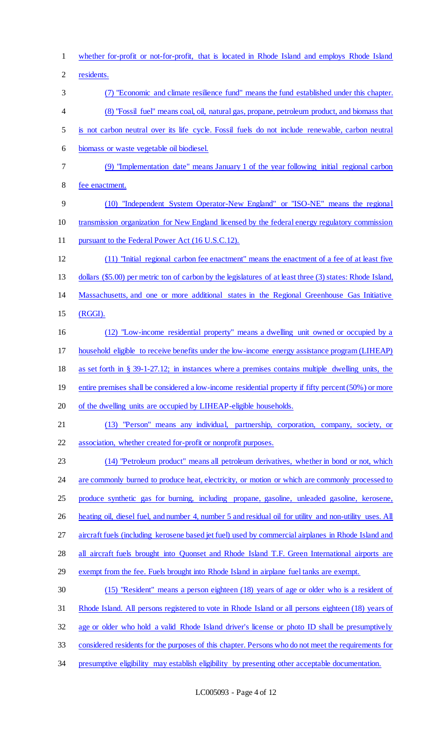whether for-profit or not-for-profit, that is located in Rhode Island and employs Rhode Island residents. (7) "Economic and climate resilience fund" means the fund established under this chapter. (8) "Fossil fuel" means coal, oil, natural gas, propane, petroleum product, and biomass that is not carbon neutral over its life cycle. Fossil fuels do not include renewable, carbon neutral biomass or waste vegetable oil biodiesel. (9) "Implementation date" means January 1 of the year following initial regional carbon fee enactment. (10) "Independent System Operator-New England" or "ISO-NE" means the regional transmission organization for New England licensed by the federal energy regulatory commission 11 pursuant to the Federal Power Act (16 U.S.C.12). (11) "Initial regional carbon fee enactment" means the enactment of a fee of at least five dollars (\$5.00) per metric ton of carbon by the legislatures of at least three (3) states: Rhode Island, Massachusetts, and one or more additional states in the Regional Greenhouse Gas Initiative (RGGI). (12) "Low-income residential property" means a dwelling unit owned or occupied by a household eligible to receive benefits under the low-income energy assistance program (LIHEAP) as set forth in § 39-1-27.12; in instances where a premises contains multiple dwelling units, the 19 entire premises shall be considered a low-income residential property if fifty percent (50%) or more 20 of the dwelling units are occupied by LIHEAP-eligible households. (13) "Person" means any individual, partnership, corporation, company, society, or association, whether created for-profit or nonprofit purposes. (14) "Petroleum product" means all petroleum derivatives, whether in bond or not, which 24 are commonly burned to produce heat, electricity, or motion or which are commonly processed to 25 produce synthetic gas for burning, including propane, gasoline, unleaded gasoline, kerosene, 26 heating oil, diesel fuel, and number 4, number 5 and residual oil for utility and non-utility uses. All aircraft fuels (including kerosene based jet fuel) used by commercial airplanes in Rhode Island and all aircraft fuels brought into Quonset and Rhode Island T.F. Green International airports are 29 exempt from the fee. Fuels brought into Rhode Island in airplane fuel tanks are exempt. (15) "Resident" means a person eighteen (18) years of age or older who is a resident of Rhode Island. All persons registered to vote in Rhode Island or all persons eighteen (18) years of age or older who hold a valid Rhode Island driver's license or photo ID shall be presumptively considered residents for the purposes of this chapter. Persons who do not meet the requirements for 34 presumptive eligibility may establish eligibility by presenting other acceptable documentation.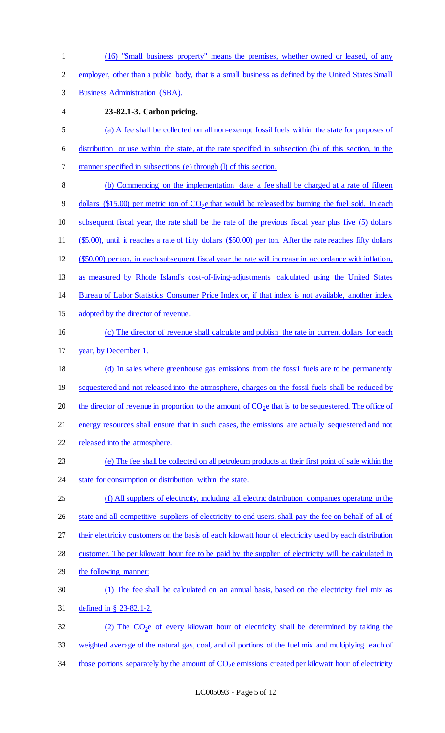(16) "Small business property" means the premises, whether owned or leased, of any employer, other than a public body, that is a small business as defined by the United States Small Business Administration (SBA). **23-82.1-3. Carbon pricing.**  (a) A fee shall be collected on all non-exempt fossil fuels within the state for purposes of distribution or use within the state, at the rate specified in subsection (b) of this section, in the manner specified in subsections (e) through (l) of this section. (b) Commencing on the implementation date, a fee shall be charged at a rate of fifteen 9 dollars (\$15.00) per metric ton of  $CO<sub>2</sub>e$  that would be released by burning the fuel sold. In each subsequent fiscal year, the rate shall be the rate of the previous fiscal year plus five (5) dollars (\$5.00), until it reaches a rate of fifty dollars (\$50.00) per ton. After the rate reaches fifty dollars (\$50.00) per ton, in each subsequent fiscal year the rate will increase in accordance with inflation, as measured by Rhode Island's cost-of-living-adjustments calculated using the United States Bureau of Labor Statistics Consumer Price Index or, if that index is not available, another index adopted by the director of revenue. (c) The director of revenue shall calculate and publish the rate in current dollars for each year, by December 1. (d) In sales where greenhouse gas emissions from the fossil fuels are to be permanently 19 sequestered and not released into the atmosphere, charges on the fossil fuels shall be reduced by 20 the director of revenue in proportion to the amount of  $CO<sub>2</sub>e$  that is to be sequestered. The office of energy resources shall ensure that in such cases, the emissions are actually sequestered and not released into the atmosphere. (e) The fee shall be collected on all petroleum products at their first point of sale within the 24 state for consumption or distribution within the state. (f) All suppliers of electricity, including all electric distribution companies operating in the 26 state and all competitive suppliers of electricity to end users, shall pay the fee on behalf of all of 27 their electricity customers on the basis of each kilowatt hour of electricity used by each distribution 28 customer. The per kilowatt hour fee to be paid by the supplier of electricity will be calculated in the following manner: (1) The fee shall be calculated on an annual basis, based on the electricity fuel mix as defined in § 23-82.1-2. 32 (2) The  $CO<sub>2</sub>e$  of every kilowatt hour of electricity shall be determined by taking the weighted average of the natural gas, coal, and oil portions of the fuel mix and multiplying each of 34 those portions separately by the amount of  $CO<sub>2</sub>e$  emissions created per kilowatt hour of electricity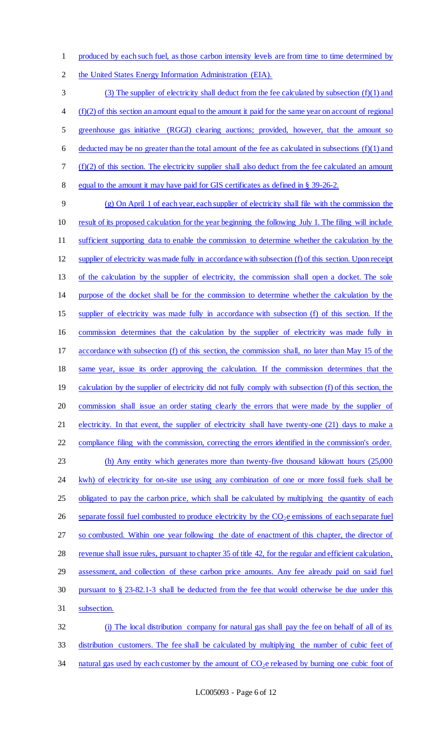produced by each such fuel, as those carbon intensity levels are from time to time determined by

the United States Energy Information Administration (EIA).

 (3) The supplier of electricity shall deduct from the fee calculated by subsection (f)(1) and (f)(2) of this section an amount equal to the amount it paid for the same year on account of regional greenhouse gas initiative (RGGI) clearing auctions; provided, however, that the amount so 6 deducted may be no greater than the total amount of the fee as calculated in subsections  $(f)(1)$  and (f)(2) of this section. The electricity supplier shall also deduct from the fee calculated an amount equal to the amount it may have paid for GIS certificates as defined in § 39-26-2.

 (g) On April 1 of each year, each supplier of electricity shall file with the commission the result of its proposed calculation for the year beginning the following July 1. The filing will include sufficient supporting data to enable the commission to determine whether the calculation by the supplier of electricity was made fully in accordance with subsection (f) of this section. Upon receipt of the calculation by the supplier of electricity, the commission shall open a docket. The sole purpose of the docket shall be for the commission to determine whether the calculation by the supplier of electricity was made fully in accordance with subsection (f) of this section. If the commission determines that the calculation by the supplier of electricity was made fully in accordance with subsection (f) of this section, the commission shall, no later than May 15 of the same year, issue its order approving the calculation. If the commission determines that the 19 calculation by the supplier of electricity did not fully comply with subsection (f) of this section, the commission shall issue an order stating clearly the errors that were made by the supplier of 21 electricity. In that event, the supplier of electricity shall have twenty-one (21) days to make a compliance filing with the commission, correcting the errors identified in the commission's order. (h) Any entity which generates more than twenty-five thousand kilowatt hours (25,000 24 kwh) of electricity for on-site use using any combination of one or more fossil fuels shall be 25 obligated to pay the carbon price, which shall be calculated by multiplying the quantity of each 26 separate fossil fuel combusted to produce electricity by the  $CO_2e$  emissions of each separate fuel 27 so combusted. Within one year following the date of enactment of this chapter, the director of revenue shall issue rules, pursuant to chapter 35 of title 42, for the regular and efficient calculation, 29 assessment, and collection of these carbon price amounts. Any fee already paid on said fuel pursuant to § 23-82.1-3 shall be deducted from the fee that would otherwise be due under this subsection. (i) The local distribution company for natural gas shall pay the fee on behalf of all of its

 distribution customers. The fee shall be calculated by multiplying the number of cubic feet of 34 natural gas used by each customer by the amount of  $CO<sub>2</sub>e$  released by burning one cubic foot of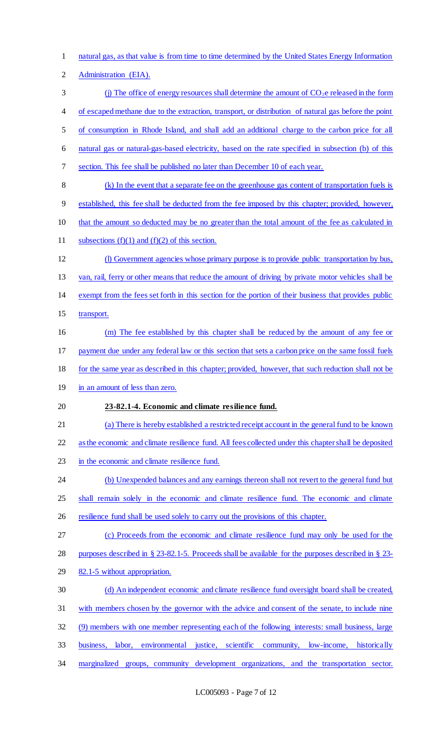natural gas, as that value is from time to time determined by the United States Energy Information

Administration (EIA).

 (i) The office of energy resources shall determine the amount of  $CO<sub>2</sub>e$  released in the form of escaped methane due to the extraction, transport, or distribution of natural gas before the point

of consumption in Rhode Island, and shall add an additional charge to the carbon price for all

natural gas or natural-gas-based electricity, based on the rate specified in subsection (b) of this

section. This fee shall be published no later than December 10 of each year.

(k) In the event that a separate fee on the greenhouse gas content of transportation fuels is

established, this fee shall be deducted from the fee imposed by this chapter; provided, however,

- that the amount so deducted may be no greater than the total amount of the fee as calculated in
- 11 subsections  $(f)(1)$  and  $(f)(2)$  of this section.
- (l) Government agencies whose primary purpose is to provide public transportation by bus,

van, rail, ferry or other means that reduce the amount of driving by private motor vehicles shall be

exempt from the fees set forth in this section for the portion of their business that provides public

15 transport.

(m) The fee established by this chapter shall be reduced by the amount of any fee or

payment due under any federal law or this section that sets a carbon price on the same fossil fuels

- for the same year as described in this chapter; provided, however, that such reduction shall not be
- in an amount of less than zero.

## **23-82.1-4. Economic and climate resilience fund.**

(a) There is hereby established a restricted receipt account in the general fund to be known

as the economic and climate resilience fund. All fees collected under this chapter shall be deposited

in the economic and climate resilience fund.

24 (b) Unexpended balances and any earnings thereon shall not revert to the general fund but

- shall remain solely in the economic and climate resilience fund. The economic and climate
- 26 resilience fund shall be used solely to carry out the provisions of this chapter.

(c) Proceeds from the economic and climate resilience fund may only be used for the

purposes described in § 23-82.1-5. Proceeds shall be available for the purposes described in § 23-

- 82.1-5 without appropriation.
- (d) An independent economic and climate resilience fund oversight board shall be created,
- with members chosen by the governor with the advice and consent of the senate, to include nine
- (9) members with one member representing each of the following interests: small business, large
- business, labor, environmental justice, scientific community, low-income, historically
- marginalized groups, community development organizations, and the transportation sector.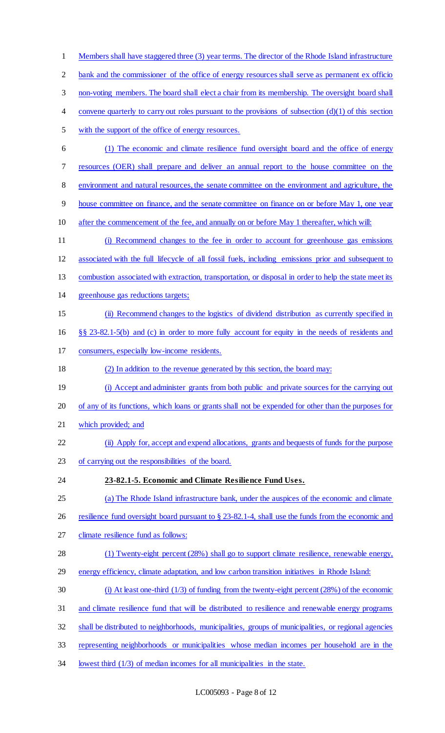Members shall have staggered three (3) year terms. The director of the Rhode Island infrastructure 2 bank and the commissioner of the office of energy resources shall serve as permanent ex officio non-voting members. The board shall elect a chair from its membership. The oversight board shall 4 convene quarterly to carry out roles pursuant to the provisions of subsection (d)(1) of this section with the support of the office of energy resources. (1) The economic and climate resilience fund oversight board and the office of energy resources (OER) shall prepare and deliver an annual report to the house committee on the environment and natural resources, the senate committee on the environment and agriculture, the house committee on finance, and the senate committee on finance on or before May 1, one year after the commencement of the fee, and annually on or before May 1 thereafter, which will: (i) Recommend changes to the fee in order to account for greenhouse gas emissions associated with the full lifecycle of all fossil fuels, including emissions prior and subsequent to combustion associated with extraction, transportation, or disposal in order to help the state meet its greenhouse gas reductions targets; (ii) Recommend changes to the logistics of dividend distribution as currently specified in §§ 23-82.1-5(b) and (c) in order to more fully account for equity in the needs of residents and consumers, especially low-income residents. (2) In addition to the revenue generated by this section, the board may: 19 (i) Accept and administer grants from both public and private sources for the carrying out of any of its functions, which loans or grants shall not be expended for other than the purposes for which provided; and (ii) Apply for, accept and expend allocations, grants and bequests of funds for the purpose of carrying out the responsibilities of the board. **23-82.1-5. Economic and Climate Resilience Fund Uses.**  (a) The Rhode Island infrastructure bank, under the auspices of the economic and climate 26 resilience fund oversight board pursuant to § 23-82.1-4, shall use the funds from the economic and climate resilience fund as follows: 28 (1) Twenty-eight percent (28%) shall go to support climate resilience, renewable energy, energy efficiency, climate adaptation, and low carbon transition initiatives in Rhode Island: (i) At least one-third (1/3) of funding from the twenty-eight percent (28%) of the economic and climate resilience fund that will be distributed to resilience and renewable energy programs shall be distributed to neighborhoods, municipalities, groups of municipalities, or regional agencies representing neighborhoods or municipalities whose median incomes per household are in the lowest third (1/3) of median incomes for all municipalities in the state.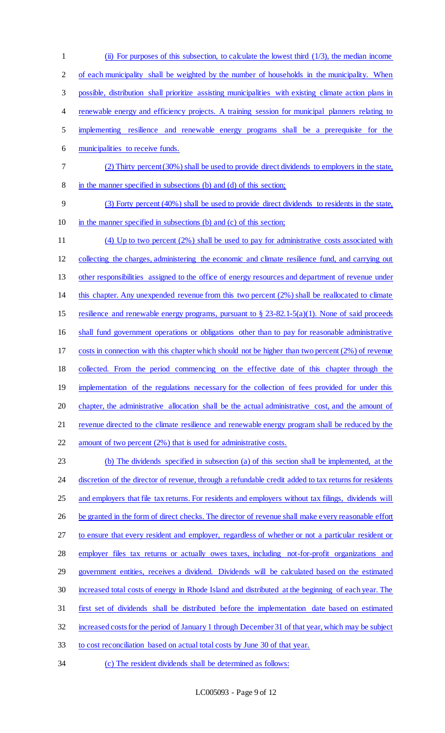(ii) For purposes of this subsection, to calculate the lowest third (1/3), the median income of each municipality shall be weighted by the number of households in the municipality. When possible, distribution shall prioritize assisting municipalities with existing climate action plans in renewable energy and efficiency projects. A training session for municipal planners relating to implementing resilience and renewable energy programs shall be a prerequisite for the municipalities to receive funds. (2) Thirty percent (30%) shall be used to provide direct dividends to employers in the state, in the manner specified in subsections (b) and (d) of this section; (3) Forty percent (40%) shall be used to provide direct dividends to residents in the state, in the manner specified in subsections (b) and (c) of this section; (4) Up to two percent (2%) shall be used to pay for administrative costs associated with collecting the charges, administering the economic and climate resilience fund, and carrying out other responsibilities assigned to the office of energy resources and department of revenue under this chapter. Any unexpended revenue from this two percent (2%) shall be reallocated to climate resilience and renewable energy programs, pursuant to § 23-82.1-5(a)(1). None of said proceeds shall fund government operations or obligations other than to pay for reasonable administrative costs in connection with this chapter which should not be higher than two percent (2%) of revenue collected. From the period commencing on the effective date of this chapter through the 19 implementation of the regulations necessary for the collection of fees provided for under this chapter, the administrative allocation shall be the actual administrative cost, and the amount of 21 revenue directed to the climate resilience and renewable energy program shall be reduced by the amount of two percent (2%) that is used for administrative costs. (b) The dividends specified in subsection (a) of this section shall be implemented, at the 24 discretion of the director of revenue, through a refundable credit added to tax returns for residents and employers that file tax returns. For residents and employers without tax filings, dividends will 26 be granted in the form of direct checks. The director of revenue shall make every reasonable effort to ensure that every resident and employer, regardless of whether or not a particular resident or employer files tax returns or actually owes taxes, including not-for-profit organizations and government entities, receives a dividend. Dividends will be calculated based on the estimated

- increased total costs of energy in Rhode Island and distributed at the beginning of each year. The
- first set of dividends shall be distributed before the implementation date based on estimated
- increased costs for the period of January 1 through December 31 of that year, which may be subject
- to cost reconciliation based on actual total costs by June 30 of that year.
- (c) The resident dividends shall be determined as follows: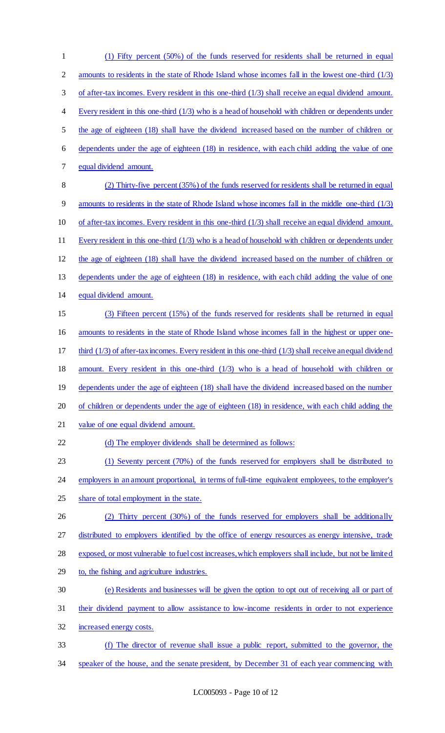(1) Fifty percent (50%) of the funds reserved for residents shall be returned in equal 2 amounts to residents in the state of Rhode Island whose incomes fall in the lowest one-third (1/3) of after-tax incomes. Every resident in this one-third (1/3) shall receive an equal dividend amount. Every resident in this one-third (1/3) who is a head of household with children or dependents under the age of eighteen (18) shall have the dividend increased based on the number of children or dependents under the age of eighteen (18) in residence, with each child adding the value of one equal dividend amount. (2) Thirty-five percent (35%) of the funds reserved for residents shall be returned in equal amounts to residents in the state of Rhode Island whose incomes fall in the middle one-third (1/3) of after-tax incomes. Every resident in this one-third (1/3) shall receive an equal dividend amount. Every resident in this one-third (1/3) who is a head of household with children or dependents under the age of eighteen (18) shall have the dividend increased based on the number of children or 13 dependents under the age of eighteen (18) in residence, with each child adding the value of one equal dividend amount. (3) Fifteen percent (15%) of the funds reserved for residents shall be returned in equal amounts to residents in the state of Rhode Island whose incomes fall in the highest or upper one-17 third (1/3) of after-tax incomes. Every resident in this one-third (1/3) shall receive an equal dividend amount. Every resident in this one-third (1/3) who is a head of household with children or 19 dependents under the age of eighteen (18) shall have the dividend increased based on the number 20 of children or dependents under the age of eighteen (18) in residence, with each child adding the value of one equal dividend amount. 22 (d) The employer dividends shall be determined as follows: (1) Seventy percent (70%) of the funds reserved for employers shall be distributed to employers in an amount proportional, in terms of full-time equivalent employees, to the employer's 25 share of total employment in the state. (2) Thirty percent (30%) of the funds reserved for employers shall be additionally 27 distributed to employers identified by the office of energy resources as energy intensive, trade exposed, or most vulnerable to fuel cost increases, which employers shall include, but not be limited to, the fishing and agriculture industries. (e) Residents and businesses will be given the option to opt out of receiving all or part of their dividend payment to allow assistance to low-income residents in order to not experience increased energy costs. (f) The director of revenue shall issue a public report, submitted to the governor, the speaker of the house, and the senate president, by December 31 of each year commencing with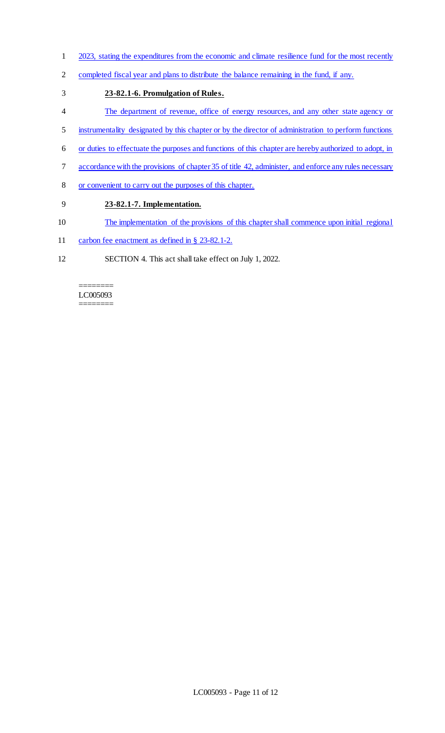- 2023, stating the expenditures from the economic and climate resilience fund for the most recently
- completed fiscal year and plans to distribute the balance remaining in the fund, if any.
- **23-82.1-6. Promulgation of Rules.**
- The department of revenue, office of energy resources, and any other state agency or
- instrumentality designated by this chapter or by the director of administration to perform functions
- or duties to effectuate the purposes and functions of this chapter are hereby authorized to adopt, in
- accordance with the provisions of chapter 35 of title 42, administer, and enforce any rules necessary
- or convenient to carry out the purposes of this chapter.

## **23-82.1-7. Implementation.**

- The implementation of the provisions of this chapter shall commence upon initial regional
- 11 carbon fee enactment as defined in § 23-82.1-2.
- SECTION 4. This act shall take effect on July 1, 2022.

======== LC005093 ========